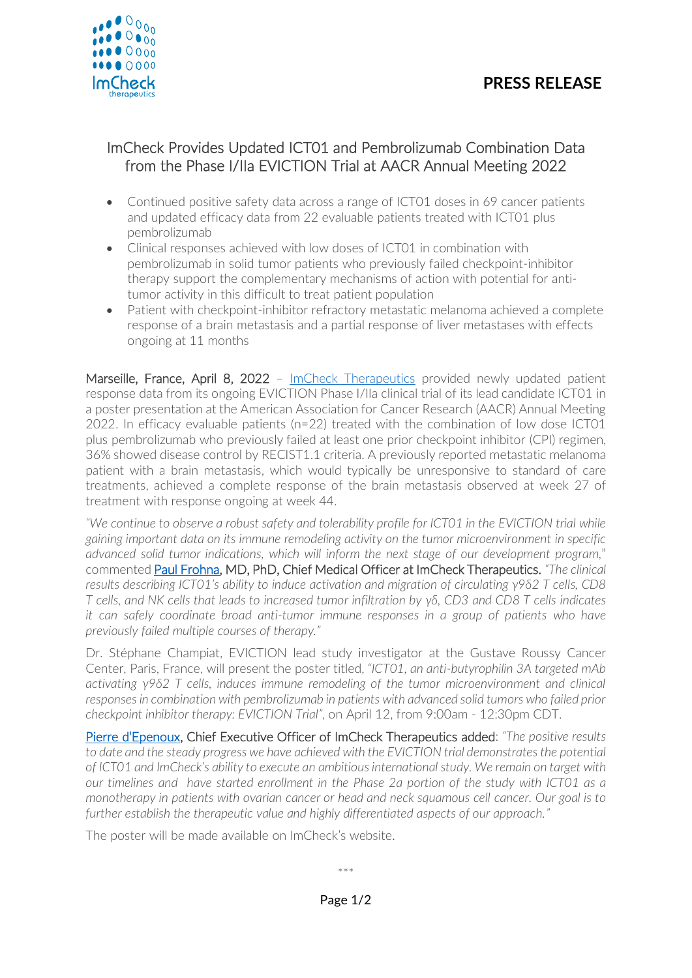

### **PRESS RELEASE**

### ImCheck Provides Updated ICT01 and Pembrolizumab Combination Data from the Phase I/IIa EVICTION Trial at AACR Annual Meeting 2022

- Continued positive safety data across a range of ICT01 doses in 69 cancer patients and updated efficacy data from 22 evaluable patients treated with ICT01 plus pembrolizumab
- Clinical responses achieved with low doses of ICT01 in combination with pembrolizumab in solid tumor patients who previously failed checkpoint-inhibitor therapy support the complementary mechanisms of action with potential for antitumor activity in this difficult to treat patient population
- Patient with checkpoint-inhibitor refractory metastatic melanoma achieved a complete response of a brain metastasis and a partial response of liver metastases with effects ongoing at 11 months

Marseille, France, April 8, 2022 - [ImCheck Therapeutics](https://www.imchecktherapeutics.com/) provided newly updated patient response data from its ongoing EVICTION Phase I/IIa clinical trial of its lead candidate ICT01 in a poster presentation at the American Association for Cancer Research (AACR) Annual Meeting 2022. In efficacy evaluable patients ( $n=22$ ) treated with the combination of low dose ICT01 plus pembrolizumab who previously failed at least one prior checkpoint inhibitor (CPI) regimen, 36% showed disease control by RECIST1.1 criteria. A previously reported metastatic melanoma patient with a brain metastasis, which would typically be unresponsive to standard of care treatments, achieved a complete response of the brain metastasis observed at week 27 of treatment with response ongoing at week 44.

*"We continue to observe a robust safety and tolerability profile for ICT01 in the EVICTION trial while gaining important data on its immune remodeling activity on the tumor microenvironment in specific advanced solid tumor indications, which will inform the next stage of our development program,*" commente[d Paul Frohna,](https://www.imchecktherapeutics.com/profile/144/) MD, PhD, Chief Medical Officer at ImCheck Therapeutics. *"The clinical results describing ICT01's ability to induce activation and migration of circulating γ9δ2 T cells, CD8 T cells, and NK cells that leads to increased tumor infiltration by γδ, CD3 and CD8 T cells indicates it can safely coordinate broad anti-tumor immune responses in a group of patients who have previously failed multiple courses of therapy."*

Dr. Stéphane Champiat, EVICTION lead study investigator at the Gustave Roussy Cancer Center, Paris, France, will present the poster titled, *"ICT01, an anti-butyrophilin 3A targeted mAb activating γ9δ2 T cells, induces immune remodeling of the tumor microenvironment and clinical responses in combination with pembrolizumab in patients with advanced solid tumors who failed prior checkpoint inhibitor therapy: EVICTION Trial",* on April 12, from 9:00am - 12:30pm CDT.

Pierre [d'Epenoux](https://www.imchecktherapeutics.com/profile/39), Chief Executive Officer of ImCheck Therapeutics added: *"The positive results to date and the steady progress we have achieved with the EVICTION trial demonstrates the potential of ICT01 and ImCheck's ability to execute an ambitious international study. We remain on target with our timelines and have started enrollment in the Phase 2a portion of the study with ICT01 as a monotherapy in patients with ovarian cancer or head and neck squamous cell cancer. Our goal is to further establish the therapeutic value and highly differentiated aspects of our approach."*

The poster will be made available on ImCheck's website.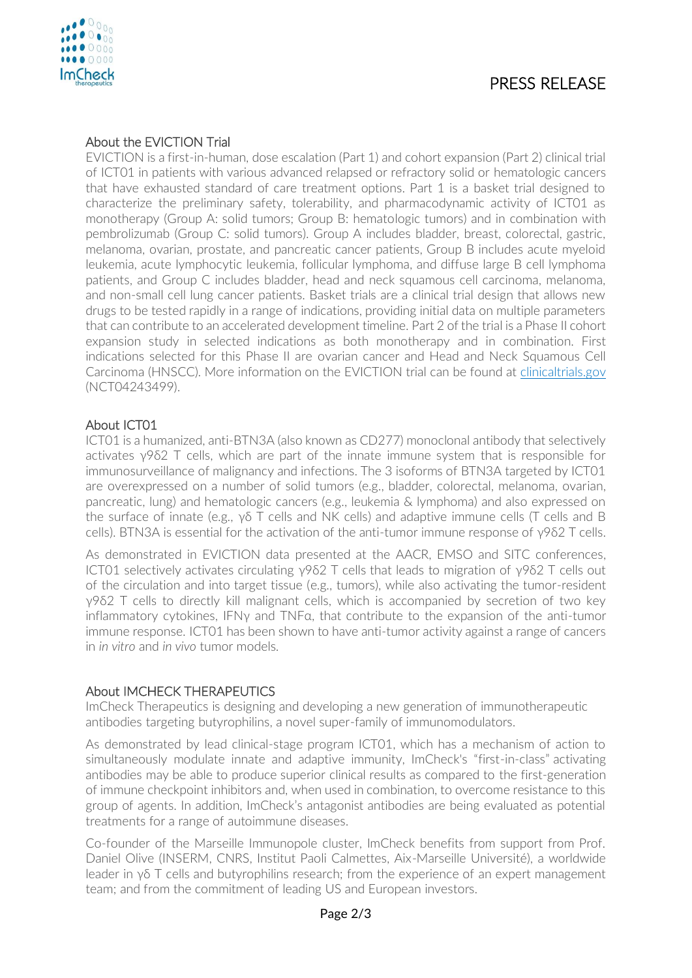

# PRESS RELEASE

#### About the EVICTION Trial

EVICTION is a first-in-human, dose escalation (Part 1) and cohort expansion (Part 2) clinical trial of ICT01 in patients with various advanced relapsed or refractory solid or hematologic cancers that have exhausted standard of care treatment options. Part 1 is a basket trial designed to characterize the preliminary safety, tolerability, and pharmacodynamic activity of ICT01 as monotherapy (Group A: solid tumors; Group B: hematologic tumors) and in combination with pembrolizumab (Group C: solid tumors). Group A includes bladder, breast, colorectal, gastric, melanoma, ovarian, prostate, and pancreatic cancer patients, Group B includes acute myeloid leukemia, acute lymphocytic leukemia, follicular lymphoma, and diffuse large B cell lymphoma patients, and Group C includes bladder, head and neck squamous cell carcinoma, melanoma, and non-small cell lung cancer patients. Basket trials are a clinical trial design that allows new drugs to be tested rapidly in a range of indications, providing initial data on multiple parameters that can contribute to an accelerated development timeline. Part 2 of the trial is a Phase II cohort expansion study in selected indications as both monotherapy and in combination. First indications selected for this Phase II are ovarian cancer and Head and Neck Squamous Cell Carcinoma (HNSCC). More information on the EVICTION trial can be found at [clinicaltrials.gov](https://www.clinicaltrials.gov/ct2/show/NCT04243499) (NCT04243499).

#### About ICT01

ICT01 is a humanized, anti-BTN3A (also known as CD277) monoclonal antibody that selectively activates γ9δ2 T cells, which are part of the innate immune system that is responsible for immunosurveillance of malignancy and infections. The 3 isoforms of BTN3A targeted by ICT01 are overexpressed on a number of solid tumors (e.g., bladder, colorectal, melanoma, ovarian, pancreatic, lung) and hematologic cancers (e.g., leukemia & lymphoma) and also expressed on the surface of innate (e.g., γδ T cells and NK cells) and adaptive immune cells (T cells and B cells). BTN3A is essential for the activation of the anti-tumor immune response of γ9δ2 T cells.

As demonstrated in EVICTION data presented at the AACR, EMSO and SITC conferences, ICT01 selectively activates circulating γ9δ2 T cells that leads to migration of γ9δ2 T cells out of the circulation and into target tissue (e.g., tumors), while also activating the tumor-resident γ9δ2 T cells to directly kill malignant cells, which is accompanied by secretion of two key inflammatory cytokines, IFNγ and TNFα, that contribute to the expansion of the anti-tumor immune response. ICT01 has been shown to have anti-tumor activity against a range of cancers in *in vitro* and *in vivo* tumor models.

#### About IMCHECK THERAPEUTICS

ImCheck Therapeutics is designing and developing a new generation of immunotherapeutic antibodies targeting butyrophilins, a novel super-family of immunomodulators.

As demonstrated by lead clinical-stage program ICT01, which has a mechanism of action to simultaneously modulate innate and adaptive immunity, ImCheck's "first-in-class" activating antibodies may be able to produce superior clinical results as compared to the first-generation of immune checkpoint inhibitors and, when used in combination, to overcome resistance to this group of agents. In addition, ImCheck's antagonist antibodies are being evaluated as potential treatments for a range of autoimmune diseases.

Co-founder of the Marseille Immunopole cluster, ImCheck benefits from support from Prof. Daniel Olive (INSERM, CNRS, Institut Paoli Calmettes, Aix-Marseille Université), a worldwide leader in γδ T cells and butyrophilins research; from the experience of an expert management team; and from the commitment of leading US and European investors.